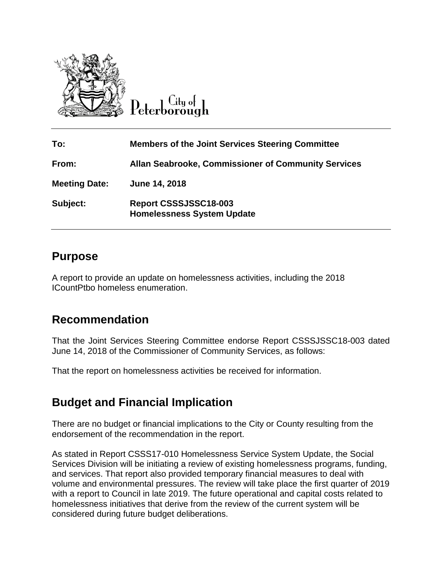

City of eterborough

| To:                  | <b>Members of the Joint Services Steering Committee</b>    |
|----------------------|------------------------------------------------------------|
| From:                | <b>Allan Seabrooke, Commissioner of Community Services</b> |
| <b>Meeting Date:</b> | June 14, 2018                                              |
| Subject:             | Report CSSSJSSC18-003<br><b>Homelessness System Update</b> |

### **Purpose**

A report to provide an update on homelessness activities, including the 2018 ICountPtbo homeless enumeration.

## **Recommendation**

That the Joint Services Steering Committee endorse Report CSSSJSSC18-003 dated June 14, 2018 of the Commissioner of Community Services, as follows:

That the report on homelessness activities be received for information.

# **Budget and Financial Implication**

There are no budget or financial implications to the City or County resulting from the endorsement of the recommendation in the report.

As stated in Report CSSS17-010 Homelessness Service System Update, the Social Services Division will be initiating a review of existing homelessness programs, funding, and services. That report also provided temporary financial measures to deal with volume and environmental pressures. The review will take place the first quarter of 2019 with a report to Council in late 2019. The future operational and capital costs related to homelessness initiatives that derive from the review of the current system will be considered during future budget deliberations.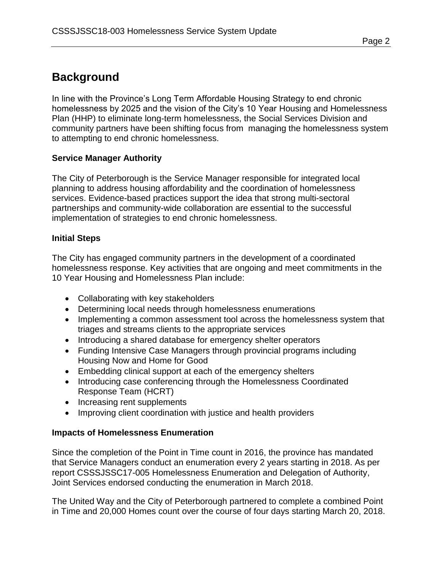### **Background**

In line with the Province's Long Term Affordable Housing Strategy to end chronic homelessness by 2025 and the vision of the City's 10 Year Housing and Homelessness Plan (HHP) to eliminate long-term homelessness, the Social Services Division and community partners have been shifting focus from managing the homelessness system to attempting to end chronic homelessness.

#### **Service Manager Authority**

The City of Peterborough is the Service Manager responsible for integrated local planning to address housing affordability and the coordination of homelessness services. Evidence-based practices support the idea that strong multi-sectoral partnerships and community-wide collaboration are essential to the successful implementation of strategies to end chronic homelessness.

#### **Initial Steps**

The City has engaged community partners in the development of a coordinated homelessness response. Key activities that are ongoing and meet commitments in the 10 Year Housing and Homelessness Plan include:

- Collaborating with key stakeholders
- Determining local needs through homelessness enumerations
- Implementing a common assessment tool across the homelessness system that triages and streams clients to the appropriate services
- Introducing a shared database for emergency shelter operators
- Funding Intensive Case Managers through provincial programs including Housing Now and Home for Good
- Embedding clinical support at each of the emergency shelters
- Introducing case conferencing through the Homelessness Coordinated Response Team (HCRT)
- Increasing rent supplements
- Improving client coordination with justice and health providers

#### **Impacts of Homelessness Enumeration**

Since the completion of the Point in Time count in 2016, the province has mandated that Service Managers conduct an enumeration every 2 years starting in 2018. As per report CSSSJSSC17-005 Homelessness Enumeration and Delegation of Authority, Joint Services endorsed conducting the enumeration in March 2018.

The United Way and the City of Peterborough partnered to complete a combined Point in Time and 20,000 Homes count over the course of four days starting March 20, 2018.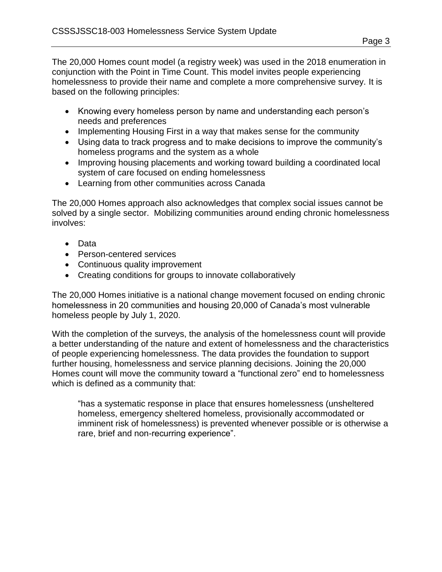The 20,000 Homes count model (a registry week) was used in the 2018 enumeration in conjunction with the Point in Time Count. This model invites people experiencing homelessness to provide their name and complete a more comprehensive survey. It is based on the following principles:

- Knowing every homeless person by name and understanding each person's needs and preferences
- Implementing Housing First in a way that makes sense for the community
- Using data to track progress and to make decisions to improve the community's homeless programs and the system as a whole
- Improving housing placements and working toward building a coordinated local system of care focused on ending homelessness
- Learning from other communities across Canada

The 20,000 Homes approach also acknowledges that complex social issues cannot be solved by a single sector. Mobilizing communities around ending chronic homelessness involves:

- Data
- Person-centered services
- Continuous quality improvement
- Creating conditions for groups to innovate collaboratively

The 20,000 Homes initiative is a national change movement focused on ending chronic homelessness in 20 communities and housing 20,000 of Canada's most vulnerable homeless people by July 1, 2020.

With the completion of the surveys, the analysis of the homelessness count will provide a better understanding of the nature and extent of homelessness and the characteristics of people experiencing homelessness. The data provides the foundation to support further housing, homelessness and service planning decisions. Joining the 20,000 Homes count will move the community toward a "functional zero" end to homelessness which is defined as a community that:

"has a systematic response in place that ensures homelessness (unsheltered homeless, emergency sheltered homeless, provisionally accommodated or imminent risk of homelessness) is prevented whenever possible or is otherwise a rare, brief and non-recurring experience".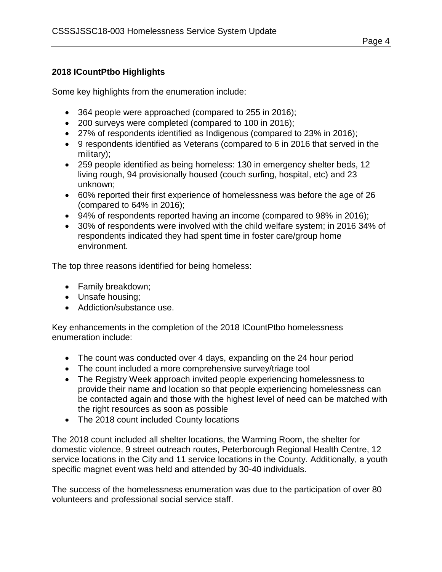### **2018 ICountPtbo Highlights**

Some key highlights from the enumeration include:

- 364 people were approached (compared to 255 in 2016);
- 200 surveys were completed (compared to 100 in 2016);
- 27% of respondents identified as Indigenous (compared to 23% in 2016);
- 9 respondents identified as Veterans (compared to 6 in 2016 that served in the military);
- 259 people identified as being homeless: 130 in emergency shelter beds, 12 living rough, 94 provisionally housed (couch surfing, hospital, etc) and 23 unknown;
- 60% reported their first experience of homelessness was before the age of 26 (compared to 64% in 2016);
- 94% of respondents reported having an income (compared to 98% in 2016);
- 30% of respondents were involved with the child welfare system; in 2016 34% of respondents indicated they had spent time in foster care/group home environment.

The top three reasons identified for being homeless:

- Family breakdown;
- Unsafe housing;
- Addiction/substance use.

Key enhancements in the completion of the 2018 ICountPtbo homelessness enumeration include:

- The count was conducted over 4 days, expanding on the 24 hour period
- The count included a more comprehensive survey/triage tool
- The Registry Week approach invited people experiencing homelessness to provide their name and location so that people experiencing homelessness can be contacted again and those with the highest level of need can be matched with the right resources as soon as possible
- The 2018 count included County locations

The 2018 count included all shelter locations, the Warming Room, the shelter for domestic violence, 9 street outreach routes, Peterborough Regional Health Centre, 12 service locations in the City and 11 service locations in the County. Additionally, a youth specific magnet event was held and attended by 30-40 individuals.

The success of the homelessness enumeration was due to the participation of over 80 volunteers and professional social service staff.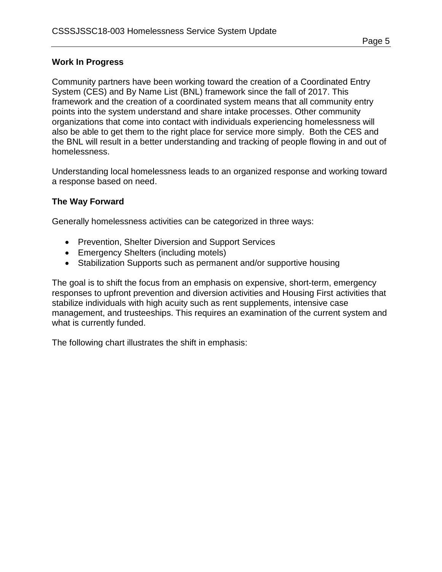### **Work In Progress**

Community partners have been working toward the creation of a Coordinated Entry System (CES) and By Name List (BNL) framework since the fall of 2017. This framework and the creation of a coordinated system means that all community entry points into the system understand and share intake processes. Other community organizations that come into contact with individuals experiencing homelessness will also be able to get them to the right place for service more simply. Both the CES and the BNL will result in a better understanding and tracking of people flowing in and out of homelessness.

Understanding local homelessness leads to an organized response and working toward a response based on need.

#### **The Way Forward**

Generally homelessness activities can be categorized in three ways:

- Prevention, Shelter Diversion and Support Services
- Emergency Shelters (including motels)
- Stabilization Supports such as permanent and/or supportive housing

The goal is to shift the focus from an emphasis on expensive, short-term, emergency responses to upfront prevention and diversion activities and Housing First activities that stabilize individuals with high acuity such as rent supplements, intensive case management, and trusteeships. This requires an examination of the current system and what is currently funded.

The following chart illustrates the shift in emphasis: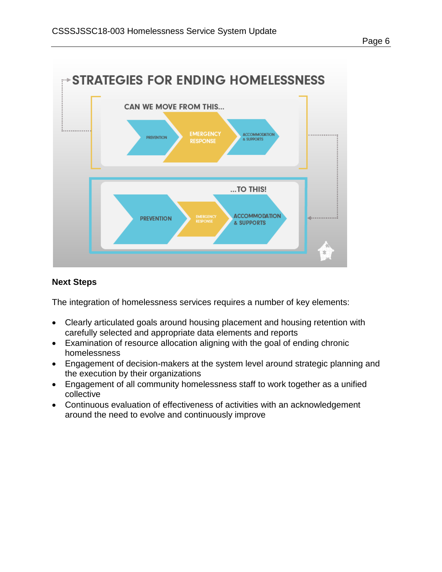

#### **Next Steps**

The integration of homelessness services requires a number of key elements:

- Clearly articulated goals around housing placement and housing retention with carefully selected and appropriate data elements and reports
- Examination of resource allocation aligning with the goal of ending chronic homelessness
- Engagement of decision-makers at the system level around strategic planning and the execution by their organizations
- Engagement of all community homelessness staff to work together as a unified collective
- Continuous evaluation of effectiveness of activities with an acknowledgement around the need to evolve and continuously improve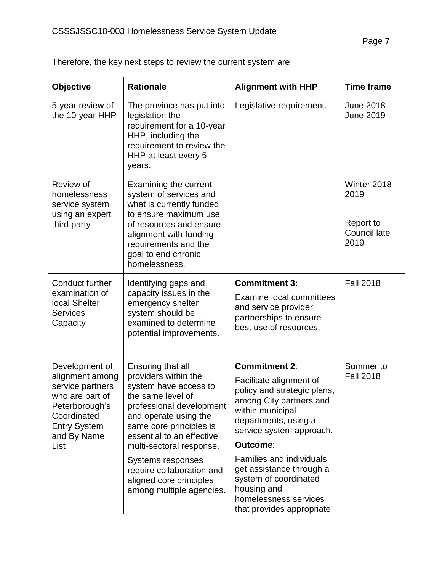| <b>Objective</b>                                                                                                                                        | <b>Rationale</b>                                                                                                                                                                                                                                                                                              | <b>Alignment with HHP</b>                                                                                                                                                                                                                                                                            | <b>Time frame</b>                                                |
|---------------------------------------------------------------------------------------------------------------------------------------------------------|---------------------------------------------------------------------------------------------------------------------------------------------------------------------------------------------------------------------------------------------------------------------------------------------------------------|------------------------------------------------------------------------------------------------------------------------------------------------------------------------------------------------------------------------------------------------------------------------------------------------------|------------------------------------------------------------------|
| 5-year review of<br>the 10-year HHP                                                                                                                     | The province has put into<br>legislation the<br>requirement for a 10-year<br>HHP, including the<br>requirement to review the<br>HHP at least every 5<br>years.                                                                                                                                                | Legislative requirement.                                                                                                                                                                                                                                                                             | June 2018-<br><b>June 2019</b>                                   |
| Review of<br>homelessness<br>service system<br>using an expert<br>third party                                                                           | Examining the current<br>system of services and<br>what is currently funded<br>to ensure maximum use<br>of resources and ensure<br>alignment with funding<br>requirements and the<br>goal to end chronic<br>homelessness.                                                                                     |                                                                                                                                                                                                                                                                                                      | <b>Winter 2018-</b><br>2019<br>Report to<br>Council late<br>2019 |
| <b>Conduct further</b><br>examination of<br>local Shelter<br><b>Services</b><br>Capacity                                                                | Identifying gaps and<br>capacity issues in the<br>emergency shelter<br>system should be<br>examined to determine<br>potential improvements.                                                                                                                                                                   | <b>Commitment 3:</b><br><b>Examine local committees</b><br>and service provider<br>partnerships to ensure<br>best use of resources.                                                                                                                                                                  | <b>Fall 2018</b>                                                 |
| Development of<br>alignment among<br>service partners<br>who are part of<br>Peterborough's<br>Coordinated<br><b>Entry System</b><br>and By Name<br>List | Ensuring that all<br>providers within the<br>system have access to<br>the same level of<br>professional development<br>and operate using the<br>same core principles is<br>essential to an effective<br>multi-sectoral response.<br>Systems responses<br>require collaboration and<br>aligned core principles | <b>Commitment 2:</b><br>Facilitate alignment of<br>policy and strategic plans,<br>among City partners and<br>within municipal<br>departments, using a<br>service system approach.<br>Outcome:<br><b>Families and individuals</b><br>get assistance through a<br>system of coordinated<br>housing and | Summer to<br><b>Fall 2018</b>                                    |
|                                                                                                                                                         | among multiple agencies.                                                                                                                                                                                                                                                                                      | homelessness services<br>that provides appropriate                                                                                                                                                                                                                                                   |                                                                  |

Therefore, the key next steps to review the current system are: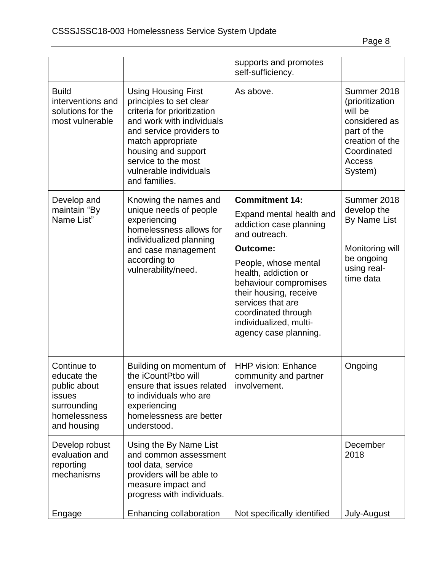|                                                                                                    |                                                                                                                                                                                                                                                             | supports and promotes<br>self-sufficiency.                                                                                                                                                     |                                                                                                                                  |
|----------------------------------------------------------------------------------------------------|-------------------------------------------------------------------------------------------------------------------------------------------------------------------------------------------------------------------------------------------------------------|------------------------------------------------------------------------------------------------------------------------------------------------------------------------------------------------|----------------------------------------------------------------------------------------------------------------------------------|
| <b>Build</b><br>interventions and<br>solutions for the<br>most vulnerable                          | <b>Using Housing First</b><br>principles to set clear<br>criteria for prioritization<br>and work with individuals<br>and service providers to<br>match appropriate<br>housing and support<br>service to the most<br>vulnerable individuals<br>and families. | As above.                                                                                                                                                                                      | Summer 2018<br>(prioritization<br>will be<br>considered as<br>part of the<br>creation of the<br>Coordinated<br>Access<br>System) |
| Develop and<br>maintain "By<br>Name List"                                                          | Knowing the names and<br>unique needs of people<br>experiencing<br>homelessness allows for                                                                                                                                                                  | <b>Commitment 14:</b><br>Expand mental health and<br>addiction case planning<br>and outreach.                                                                                                  | Summer 2018<br>develop the<br>By Name List                                                                                       |
|                                                                                                    | individualized planning<br>and case management                                                                                                                                                                                                              | Outcome:                                                                                                                                                                                       | Monitoring will                                                                                                                  |
|                                                                                                    | according to<br>vulnerability/need.                                                                                                                                                                                                                         | People, whose mental<br>health, addiction or<br>behaviour compromises<br>their housing, receive<br>services that are<br>coordinated through<br>individualized, multi-<br>agency case planning. | be ongoing<br>using real-<br>time data                                                                                           |
| Continue to<br>educate the<br>public about<br>issues<br>surrounding<br>homelessness<br>and housing | Building on momentum of<br>the iCountPtbo will<br>ensure that issues related<br>to individuals who are<br>experiencing<br>homelessness are better<br>understood.                                                                                            | <b>HHP vision: Enhance</b><br>community and partner<br>involvement.                                                                                                                            | Ongoing                                                                                                                          |
| Develop robust<br>evaluation and<br>reporting<br>mechanisms                                        | Using the By Name List<br>and common assessment<br>tool data, service<br>providers will be able to<br>measure impact and<br>progress with individuals.                                                                                                      |                                                                                                                                                                                                | December<br>2018                                                                                                                 |
| Engage                                                                                             | Enhancing collaboration                                                                                                                                                                                                                                     | Not specifically identified                                                                                                                                                                    | July-August                                                                                                                      |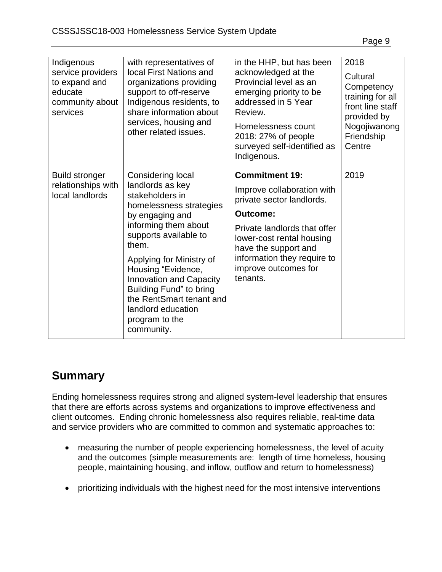| Indigenous<br>service providers<br>to expand and<br>educate<br>community about<br>services | with representatives of<br>local First Nations and<br>organizations providing<br>support to off-reserve<br>Indigenous residents, to<br>share information about<br>services, housing and<br>other related issues.                                                                                                                                                  | in the HHP, but has been<br>acknowledged at the<br>Provincial level as an<br>emerging priority to be<br>addressed in 5 Year<br>Review.<br>Homelessness count<br>2018: 27% of people<br>surveyed self-identified as<br>Indigenous.                           | 2018<br>Cultural<br>Competency<br>training for all<br>front line staff<br>provided by<br>Nogojiwanong<br>Friendship<br>Centre |
|--------------------------------------------------------------------------------------------|-------------------------------------------------------------------------------------------------------------------------------------------------------------------------------------------------------------------------------------------------------------------------------------------------------------------------------------------------------------------|-------------------------------------------------------------------------------------------------------------------------------------------------------------------------------------------------------------------------------------------------------------|-------------------------------------------------------------------------------------------------------------------------------|
| <b>Build stronger</b><br>relationships with<br>local landlords                             | Considering local<br>landlords as key<br>stakeholders in<br>homelessness strategies<br>by engaging and<br>informing them about<br>supports available to<br>them.<br>Applying for Ministry of<br>Housing "Evidence,<br><b>Innovation and Capacity</b><br>Building Fund" to bring<br>the RentSmart tenant and<br>landlord education<br>program to the<br>community. | <b>Commitment 19:</b><br>Improve collaboration with<br>private sector landlords.<br><b>Outcome:</b><br>Private landlords that offer<br>lower-cost rental housing<br>have the support and<br>information they require to<br>improve outcomes for<br>tenants. | 2019                                                                                                                          |

## **Summary**

Ending homelessness requires strong and aligned system-level leadership that ensures that there are efforts across systems and organizations to improve effectiveness and client outcomes. Ending chronic homelessness also requires reliable, real-time data and service providers who are committed to common and systematic approaches to:

- measuring the number of people experiencing homelessness, the level of acuity and the outcomes (simple measurements are: length of time homeless, housing people, maintaining housing, and inflow, outflow and return to homelessness)
- prioritizing individuals with the highest need for the most intensive interventions